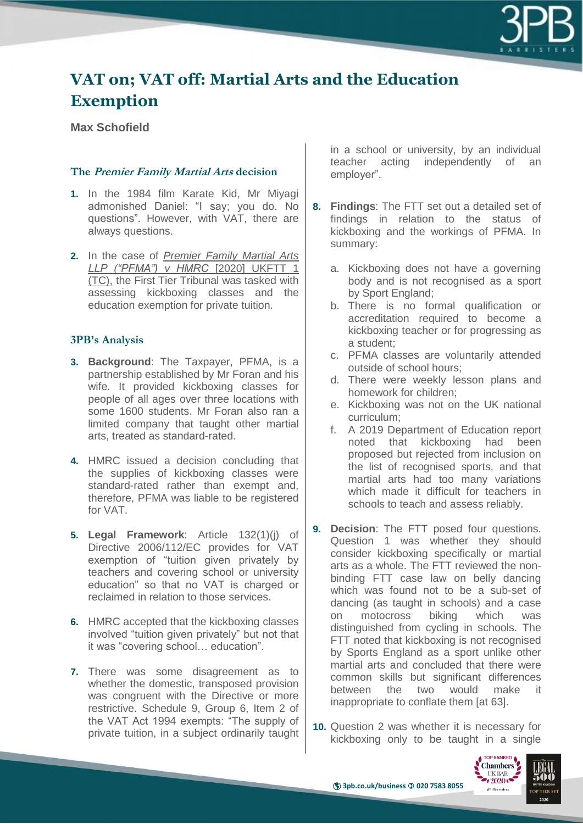

# **VAT on; VAT off: Martial Arts and the Education Exemption**

## **Max Schofield**

#### **The Premier Family Martial Arts decision**

- **1.** In the 1984 film Karate Kid, Mr Miyagi admonished Daniel: "I say; you do. No questions". However, with VAT, there are always questions.
- **2.** In the case of *Premier Family Martial Arts LLP ("PFMA") v HMRC* [2020] UKFTT 1 (TC), the First Tier Tribunal was tasked with assessing kickboxing classes and the education exemption for private tuition.

#### **3PB's Analysis**

- **3. Background**: The Taxpayer, PFMA, is a partnership established by Mr Foran and his wife. It provided kickboxing classes for people of all ages over three locations with some 1600 students. Mr Foran also ran a limited company that taught other martial arts, treated as standard-rated.
- **4.** HMRC issued a decision concluding that the supplies of kickboxing classes were standard-rated rather than exempt and, therefore, PFMA was liable to be registered for VAT.
- **5. Legal Framework**: Article 132(1)(j) of Directive 2006/112/EC provides for VAT exemption of "tuition given privately by teachers and covering school or university education" so that no VAT is charged or reclaimed in relation to those services.
- **6.** HMRC accepted that the kickboxing classes involved "tuition given privately" but not that it was "covering school… education".
- **7.** There was some disagreement as to whether the domestic, transposed provision was congruent with the Directive or more restrictive. Schedule 9, Group 6, Item 2 of the VAT Act 1994 exempts: "The supply of private tuition, in a subject ordinarily taught

in a school or university, by an individual teacher acting independently of an employer".

- **8. Findings**: The FTT set out a detailed set of findings in relation to the status of kickboxing and the workings of PFMA. In summary:
	- a. Kickboxing does not have a governing body and is not recognised as a sport by Sport England;
	- b. There is no formal qualification or accreditation required to become a kickboxing teacher or for progressing as a student;
	- c. PFMA classes are voluntarily attended outside of school hours;
	- d. There were weekly lesson plans and homework for children;
	- e. Kickboxing was not on the UK national curriculum;
	- f. A 2019 Department of Education report noted that kickboxing had been proposed but rejected from inclusion on the list of recognised sports, and that martial arts had too many variations which made it difficult for teachers in schools to teach and assess reliably.
- **9. Decision**: The FTT posed four questions. Question 1 was whether they should consider kickboxing specifically or martial arts as a whole. The FTT reviewed the nonbinding FTT case law on belly dancing which was found not to be a sub-set of dancing (as taught in schools) and a case on motocross biking which was distinguished from cycling in schools. The FTT noted that kickboxing is not recognised by Sports England as a sport unlike other martial arts and concluded that there were common skills but significant differences between the two would make it inappropriate to conflate them [at 63].
- **10.** Question 2 was whether it is necessary for kickboxing only to be taught in a single

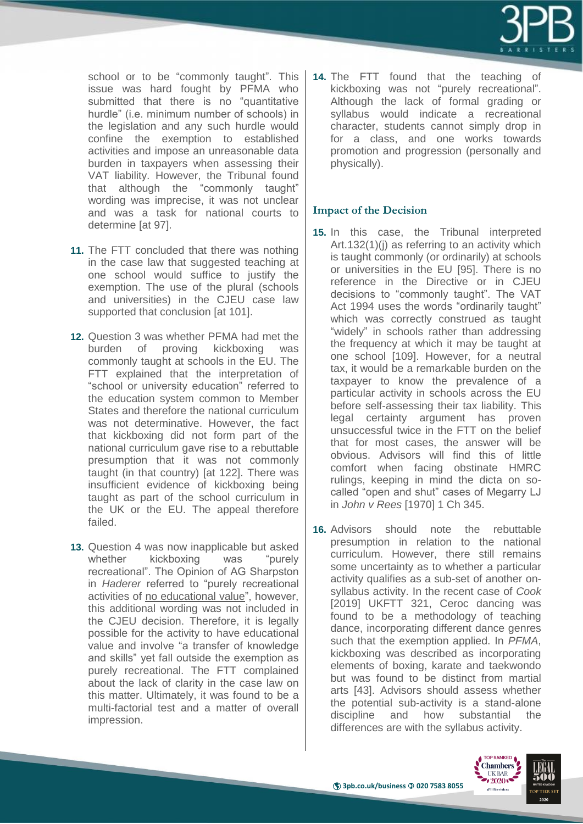

school or to be "commonly taught". This issue was hard fought by PFMA who submitted that there is no "quantitative hurdle" (i.e. minimum number of schools) in the legislation and any such hurdle would confine the exemption to established activities and impose an unreasonable data burden in taxpayers when assessing their VAT liability. However, the Tribunal found that although the "commonly taught" wording was imprecise, it was not unclear and was a task for national courts to determine [at 97].

- **11.** The FTT concluded that there was nothing in the case law that suggested teaching at one school would suffice to justify the exemption. The use of the plural (schools and universities) in the CJEU case law supported that conclusion [at 101].
- **12.** Question 3 was whether PFMA had met the burden of proving kickboxing was commonly taught at schools in the EU. The FTT explained that the interpretation of "school or university education" referred to the education system common to Member States and therefore the national curriculum was not determinative. However, the fact that kickboxing did not form part of the national curriculum gave rise to a rebuttable presumption that it was not commonly taught (in that country) [at 122]. There was insufficient evidence of kickboxing being taught as part of the school curriculum in the UK or the EU. The appeal therefore failed.
- **13.** Question 4 was now inapplicable but asked whether kickboxing was "purely recreational". The Opinion of AG Sharpston in *Haderer* referred to "purely recreational activities of no educational value", however, this additional wording was not included in the CJEU decision. Therefore, it is legally possible for the activity to have educational value and involve "a transfer of knowledge and skills" yet fall outside the exemption as purely recreational. The FTT complained about the lack of clarity in the case law on this matter. Ultimately, it was found to be a multi-factorial test and a matter of overall impression.

**14.** The FTT found that the teaching of kickboxing was not "purely recreational". Although the lack of formal grading or syllabus would indicate a recreational character, students cannot simply drop in for a class, and one works towards promotion and progression (personally and physically).

### **Impact of the Decision**

- **15.** In this case, the Tribunal interpreted Art.132(1)(j) as referring to an activity which is taught commonly (or ordinarily) at schools or universities in the EU [95]. There is no reference in the Directive or in CJEU decisions to "commonly taught". The VAT Act 1994 uses the words "ordinarily taught" which was correctly construed as taught "widely" in schools rather than addressing the frequency at which it may be taught at one school [109]. However, for a neutral tax, it would be a remarkable burden on the taxpayer to know the prevalence of a particular activity in schools across the EU before self-assessing their tax liability. This legal certainty argument has proven unsuccessful twice in the FTT on the belief that for most cases, the answer will be obvious. Advisors will find this of little comfort when facing obstinate HMRC rulings, keeping in mind the dicta on socalled "open and shut" cases of Megarry LJ in *John v Rees* [1970] 1 Ch 345.
- **16.** Advisors should note the rebuttable presumption in relation to the national curriculum. However, there still remains some uncertainty as to whether a particular activity qualifies as a sub-set of another onsyllabus activity. In the recent case of *Cook* [2019] UKFTT 321, Ceroc dancing was found to be a methodology of teaching dance, incorporating different dance genres such that the exemption applied. In *PFMA*, kickboxing was described as incorporating elements of boxing, karate and taekwondo but was found to be distinct from martial arts [43]. Advisors should assess whether the potential sub-activity is a stand-alone discipline and how substantial the differences are with the syllabus activity.